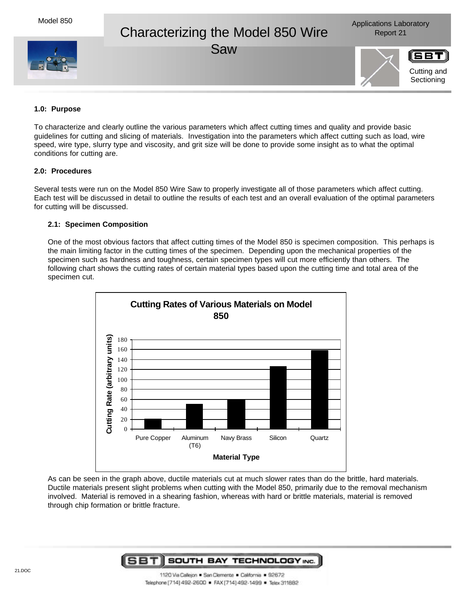# Characterizing the Model 850 Wire Report 21

Saw



Cutting and **Sectioning** 

# **1.0: Purpose**

To characterize and clearly outline the various parameters which affect cutting times and quality and provide basic guidelines for cutting and slicing of materials. Investigation into the parameters which affect cutting such as load, wire speed, wire type, slurry type and viscosity, and grit size will be done to provide some insight as to what the optimal conditions for cutting are.

# **2.0: Procedures**

Several tests were run on the Model 850 Wire Saw to properly investigate all of those parameters which affect cutting. Each test will be discussed in detail to outline the results of each test and an overall evaluation of the optimal parameters for cutting will be discussed.

### **2.1: Specimen Composition**

One of the most obvious factors that affect cutting times of the Model 850 is specimen composition. This perhaps is the main limiting factor in the cutting times of the specimen. Depending upon the mechanical properties of the specimen such as hardness and toughness, certain specimen types will cut more efficiently than others. The following chart shows the cutting rates of certain material types based upon the cutting time and total area of the specimen cut.



As can be seen in the graph above, ductile materials cut at much slower rates than do the brittle, hard materials. Ductile materials present slight problems when cutting with the Model 850, primarily due to the removal mechanism involved. Material is removed in a shearing fashion, whereas with hard or brittle materials, material is removed through chip formation or brittle fracture.

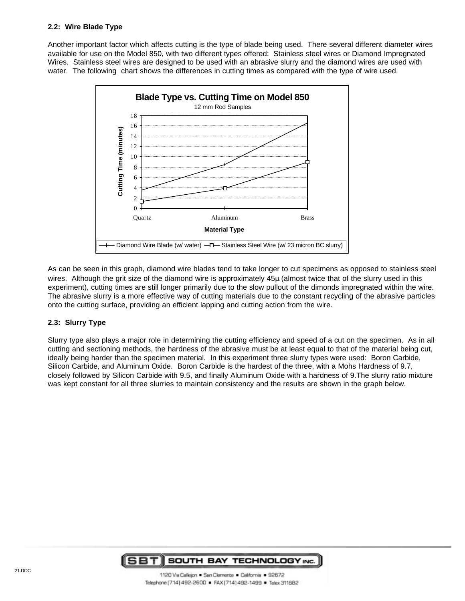# **2.2: Wire Blade Type**

Another important factor which affects cutting is the type of blade being used. There several different diameter wires available for use on the Model 850, with two different types offered: Stainless steel wires or Diamond Impregnated Wires. Stainless steel wires are designed to be used with an abrasive slurry and the diamond wires are used with water. The following chart shows the differences in cutting times as compared with the type of wire used.



As can be seen in this graph, diamond wire blades tend to take longer to cut specimens as opposed to stainless steel wires. Although the grit size of the diamond wire is approximately 45μ (almost twice that of the slurry used in this experiment), cutting times are still longer primarily due to the slow pullout of the dimonds impregnated within the wire. The abrasive slurry is a more effective way of cutting materials due to the constant recycling of the abrasive particles onto the cutting surface, providing an efficient lapping and cutting action from the wire.

# **2.3: Slurry Type**

Slurry type also plays a major role in determining the cutting efficiency and speed of a cut on the specimen. As in all cutting and sectioning methods, the hardness of the abrasive must be at least equal to that of the material being cut, ideally being harder than the specimen material. In this experiment three slurry types were used: Boron Carbide, Silicon Carbide, and Aluminum Oxide. Boron Carbide is the hardest of the three, with a Mohs Hardness of 9.7, closely followed by Silicon Carbide with 9.5, and finally Aluminum Oxide with a hardness of 9.The slurry ratio mixture was kept constant for all three slurries to maintain consistency and the results are shown in the graph below.

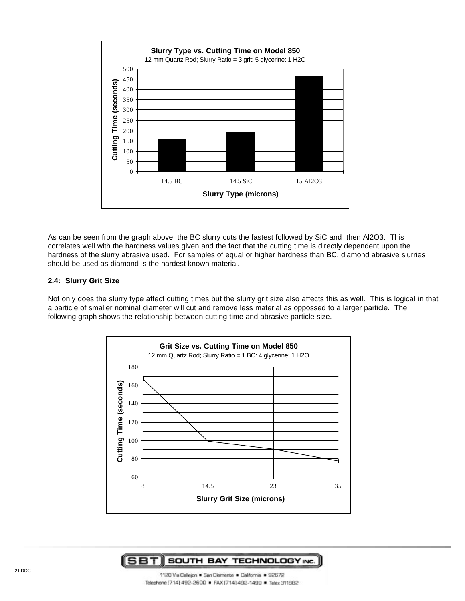

As can be seen from the graph above, the BC slurry cuts the fastest followed by SiC and then Al2O3. This correlates well with the hardness values given and the fact that the cutting time is directly dependent upon the hardness of the slurry abrasive used. For samples of equal or higher hardness than BC, diamond abrasive slurries should be used as diamond is the hardest known material.

#### **2.4: Slurry Grit Size**

Not only does the slurry type affect cutting times but the slurry grit size also affects this as well. This is logical in that a particle of smaller nominal diameter will cut and remove less material as oppossed to a larger particle. The following graph shows the relationship between cutting time and abrasive particle size.



#### **SBTI** SOUTH BAY TECHNOLOGY INC.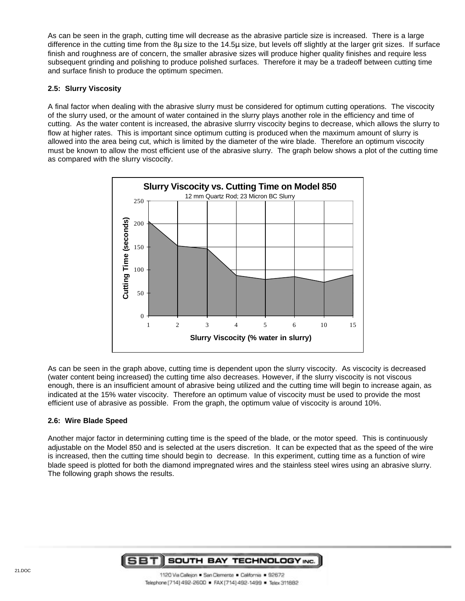As can be seen in the graph, cutting time will decrease as the abrasive particle size is increased. There is a large difference in the cutting time from the 8μ size to the 14.5μ size, but levels off slightly at the larger grit sizes. If surface finish and roughness are of concern, the smaller abrasive sizes will produce higher quality finishes and require less subsequent grinding and polishing to produce polished surfaces. Therefore it may be a tradeoff between cutting time and surface finish to produce the optimum specimen.

# **2.5: Slurry Viscosity**

A final factor when dealing with the abrasive slurry must be considered for optimum cutting operations. The viscocity of the slurry used, or the amount of water contained in the slurry plays another role in the efficiency and time of cutting. As the water content is increased, the abrasive slurrry viscocity begins to decrease, which allows the slurry to flow at higher rates. This is important since optimum cutting is produced when the maximum amount of slurry is allowed into the area being cut, which is limited by the diameter of the wire blade. Therefore an optimum viscocity must be known to allow the most efficient use of the abrasive slurry. The graph below shows a plot of the cutting time as compared with the slurry viscocity.



As can be seen in the graph above, cutting time is dependent upon the slurry viscocity. As viscocity is decreased (water content being increased) the cutting time also decreases. However, if the slurry viscocity is not viscous enough, there is an insufficient amount of abrasive being utilized and the cutting time will begin to increase again, as indicated at the 15% water viscocity. Therefore an optimum value of viscocity must be used to provide the most efficient use of abrasive as possible. From the graph, the optimum value of viscocity is around 10%.

# **2.6: Wire Blade Speed**

Another major factor in determining cutting time is the speed of the blade, or the motor speed. This is continuously adjustable on the Model 850 and is selected at the users discretion. It can be expected that as the speed of the wire is increased, then the cutting time should begin to decrease. In this experiment, cutting time as a function of wire blade speed is plotted for both the diamond impregnated wires and the stainless steel wires using an abrasive slurry. The following graph shows the results.

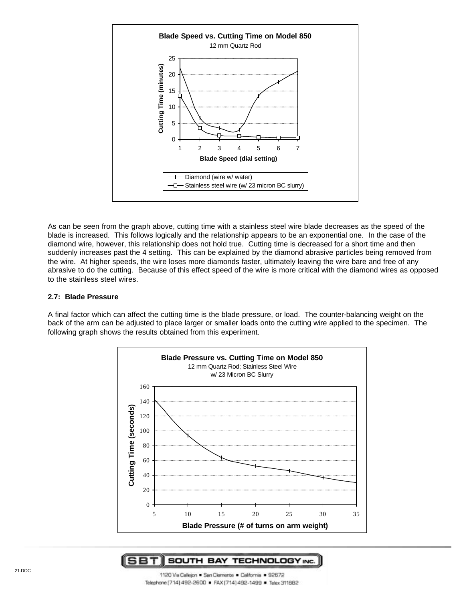

As can be seen from the graph above, cutting time with a stainless steel wire blade decreases as the speed of the blade is increased. This follows logically and the relationship appears to be an exponential one. In the case of the diamond wire, however, this relationship does not hold true. Cutting time is decreased for a short time and then suddenly increases past the 4 setting. This can be explained by the diamond abrasive particles being removed from the wire. At higher speeds, the wire loses more diamonds faster, ultimately leaving the wire bare and free of any abrasive to do the cutting. Because of this effect speed of the wire is more critical with the diamond wires as opposed to the stainless steel wires.

#### **2.7: Blade Pressure**

A final factor which can affect the cutting time is the blade pressure, or load. The counter-balancing weight on the back of the arm can be adjusted to place larger or smaller loads onto the cutting wire applied to the specimen. The following graph shows the results obtained from this experiment.



SBTI SOUTH BAY TECHNOLOGY INC.